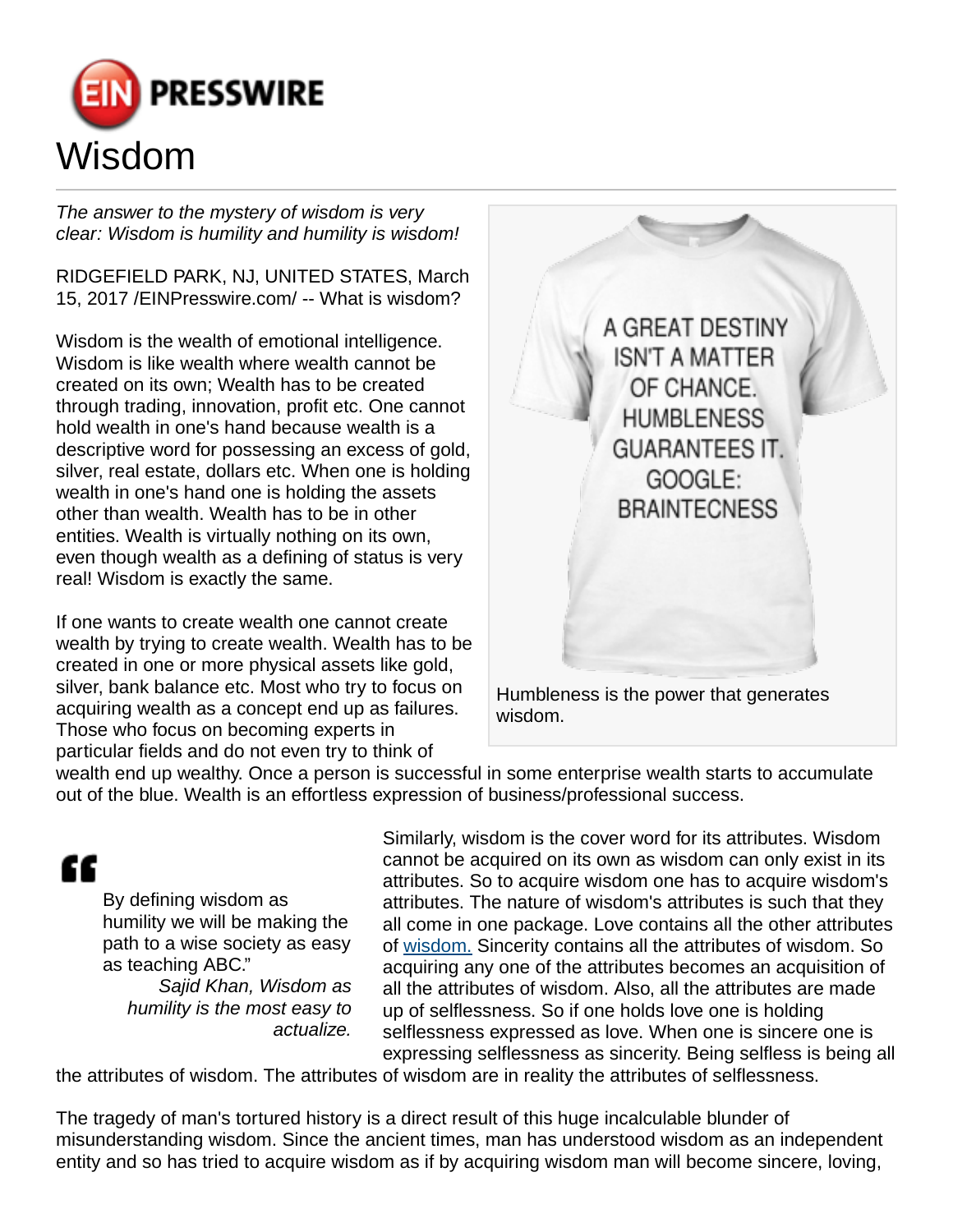

The answer to the mystery of wisdom is very clear: Wisdom is humility and humility is wisdom!

RIDGEFIELD PARK, NJ, UNITED STATES, March 15, 2017 [/EINPresswire.com/](http://www.einpresswire.com) -- What is wisdom?

Wisdom is the wealth of emotional intelligence. Wisdom is like wealth where wealth cannot be created on its own; Wealth has to be created through trading, innovation, profit etc. One cannot hold wealth in one's hand because wealth is a descriptive word for possessing an excess of gold, silver, real estate, dollars etc. When one is holding wealth in one's hand one is holding the assets other than wealth. Wealth has to be in other entities. Wealth is virtually nothing on its own, even though wealth as a defining of status is very real! Wisdom is exactly the same.

If one wants to create wealth one cannot create wealth by trying to create wealth. Wealth has to be created in one or more physical assets like gold, silver, bank balance etc. Most who try to focus on acquiring wealth as a concept end up as failures. Those who focus on becoming experts in particular fields and do not even try to think of



wealth end up wealthy. Once a person is successful in some enterprise wealth starts to accumulate out of the blue. Wealth is an effortless expression of business/professional success.

## "

By defining wisdom as humility we will be making the path to a wise society as easy as teaching ABC."

Sajid Khan, Wisdom as humility is the most easy to actualize.

Similarly, wisdom is the cover word for its attributes. Wisdom cannot be acquired on its own as wisdom can only exist in its attributes. So to acquire wisdom one has to acquire wisdom's attributes. The nature of wisdom's attributes is such that they all come in one package. Love contains all the other attributes of [wisdom.](http://www.24-7pressrelease.com/press-release/if-only-our-leaders-would-wake-up-to-the-reality-that-it-is-humbleness-that-we-need-to-create-in-order-to-create-wisdom-408547.php) Sincerity contains all the attributes of wisdom. So acquiring any one of the attributes becomes an acquisition of all the attributes of wisdom. Also, all the attributes are made up of selflessness. So if one holds love one is holding selflessness expressed as love. When one is sincere one is expressing selflessness as sincerity. Being selfless is being all

the attributes of wisdom. The attributes of wisdom are in reality the attributes of selflessness.

The tragedy of man's tortured history is a direct result of this huge incalculable blunder of misunderstanding wisdom. Since the ancient times, man has understood wisdom as an independent entity and so has tried to acquire wisdom as if by acquiring wisdom man will become sincere, loving,